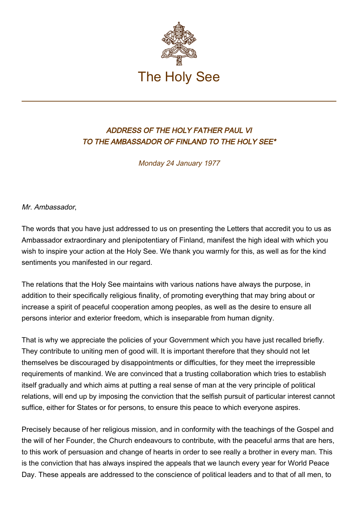

## ADDRESS OF THE HOLY FATHER PAUL VI TO THE AMBASSADOR OF FINLAND TO THE HOLY SEE\*

Monday 24 January 1977

Mr. Ambassador,

The words that you have just addressed to us on presenting the Letters that accredit you to us as Ambassador extraordinary and plenipotentiary of Finland, manifest the high ideal with which you wish to inspire your action at the Holy See. We thank you warmly for this, as well as for the kind sentiments you manifested in our regard.

The relations that the Holy See maintains with various nations have always the purpose, in addition to their specifically religious finality, of promoting everything that may bring about or increase a spirit of peaceful cooperation among peoples, as well as the desire to ensure all persons interior and exterior freedom, which is inseparable from human dignity.

That is why we appreciate the policies of your Government which you have just recalled briefly. They contribute to uniting men of good will. It is important therefore that they should not let themselves be discouraged by disappointments or difficulties, for they meet the irrepressible requirements of mankind. We are convinced that a trusting collaboration which tries to establish itself gradually and which aims at putting a real sense of man at the very principle of political relations, will end up by imposing the conviction that the selfish pursuit of particular interest cannot suffice, either for States or for persons, to ensure this peace to which everyone aspires.

Precisely because of her religious mission, and in conformity with the teachings of the Gospel and the will of her Founder, the Church endeavours to contribute, with the peaceful arms that are hers, to this work of persuasion and change of hearts in order to see really a brother in every man. This is the conviction that has always inspired the appeals that we launch every year for World Peace Day. These appeals are addressed to the conscience of political leaders and to that of all men, to